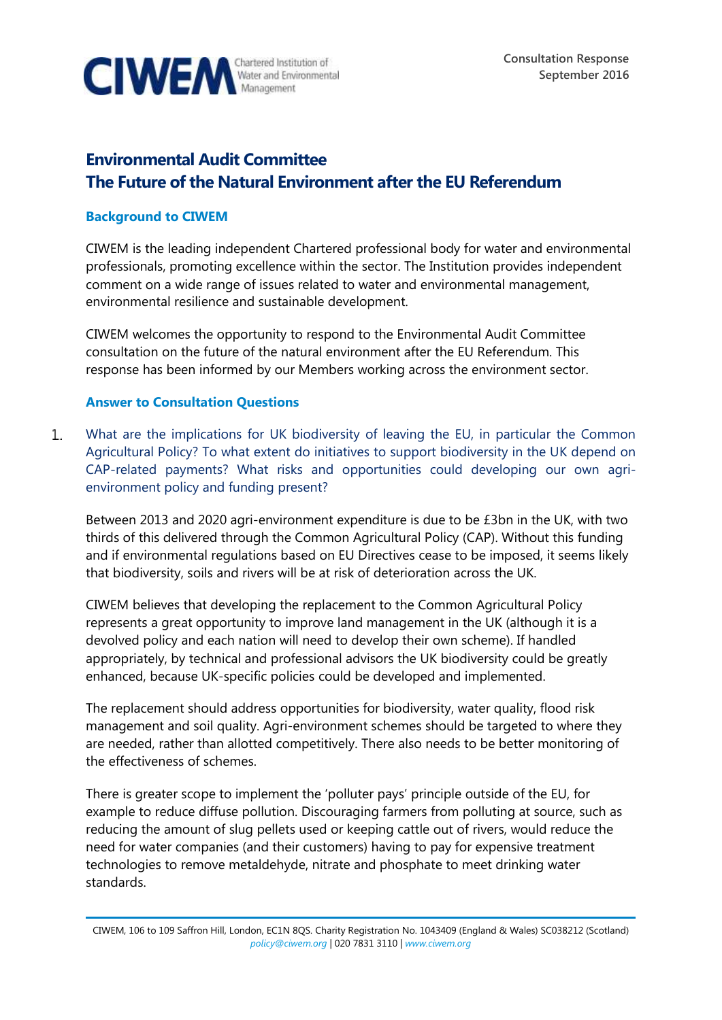

## **Environmental Audit Committee The Future of the Natural Environment after the EU Referendum**

## **Background to CIWEM**

CIWEM is the leading independent Chartered professional body for water and environmental professionals, promoting excellence within the sector. The Institution provides independent comment on a wide range of issues related to water and environmental management, environmental resilience and sustainable development.

CIWEM welcomes the opportunity to respond to the Environmental Audit Committee consultation on the future of the natural environment after the EU Referendum. This response has been informed by our Members working across the environment sector.

## **Answer to Consultation Questions**

What are the implications for UK biodiversity of leaving the EU, in particular the Common  $\mathbf{1}$ . Agricultural Policy? To what extent do initiatives to support biodiversity in the UK depend on CAP-related payments? What risks and opportunities could developing our own agrienvironment policy and funding present?

Between 2013 and 2020 agri-environment expenditure is due to be £3bn in the UK, with two thirds of this delivered through the Common Agricultural Policy (CAP). Without this funding and if environmental regulations based on EU Directives cease to be imposed, it seems likely that biodiversity, soils and rivers will be at risk of deterioration across the UK.

CIWEM believes that developing the replacement to the Common Agricultural Policy represents a great opportunity to improve land management in the UK (although it is a devolved policy and each nation will need to develop their own scheme). If handled appropriately, by technical and professional advisors the UK biodiversity could be greatly enhanced, because UK-specific policies could be developed and implemented.

The replacement should address opportunities for biodiversity, water quality, flood risk management and soil quality. Agri-environment schemes should be targeted to where they are needed, rather than allotted competitively. There also needs to be better monitoring of the effectiveness of schemes.

There is greater scope to implement the 'polluter pays' principle outside of the EU, for example to reduce diffuse pollution. Discouraging farmers from polluting at source, such as reducing the amount of slug pellets used or keeping cattle out of rivers, would reduce the need for water companies (and their customers) having to pay for expensive treatment technologies to remove metaldehyde, nitrate and phosphate to meet drinking water standards.

CIWEM, 106 to 109 Saffron Hill, London, EC1N 8QS. Charity Registration No. 1043409 (England & Wales) SC038212 (Scotland) *[policy@ciwem.org](mailto:policy@ciwem.org)* | 020 7831 3110 | *[www.ciwem.org](http://www.ciwem.org/)*